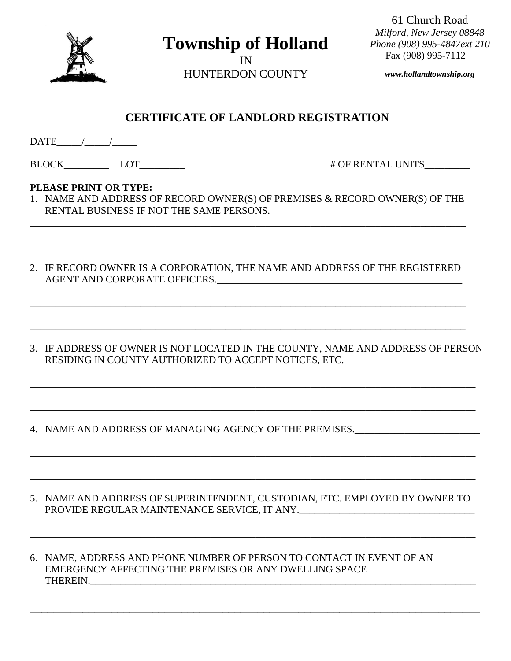

## **Township of Holland**

IN HUNTERDON COUNTY

61 Church Road *Milford, New Jersey 08848 Phone (908) 995-4847ext 210* Fax (908) 995-7112

*www.hollandtownship.org*

## **CERTIFICATE OF LANDLORD REGISTRATION**

 $\text{DATE}$  / / /

BLOCK LOT  $\qquad \qquad$  LOT  $\qquad \qquad$   $\qquad \qquad$   $\qquad \qquad$   $\qquad \qquad$   $\qquad \qquad$   $\qquad \qquad$   $\qquad \qquad$   $\qquad \qquad$   $\qquad \qquad$   $\qquad \qquad$   $\qquad \qquad$   $\qquad \qquad$   $\qquad \qquad$   $\qquad \qquad$   $\qquad \qquad$   $\qquad \qquad$   $\qquad \qquad$   $\qquad \qquad$   $\qquad \qquad$   $\qquad$   $\qquad \qquad$   $\qquad$   $\qquad \qquad$ 

## **PLEASE PRINT OR TYPE:**

1. NAME AND ADDRESS OF RECORD OWNER(S) OF PREMISES & RECORD OWNER(S) OF THE RENTAL BUSINESS IF NOT THE SAME PERSONS.

\_\_\_\_\_\_\_\_\_\_\_\_\_\_\_\_\_\_\_\_\_\_\_\_\_\_\_\_\_\_\_\_\_\_\_\_\_\_\_\_\_\_\_\_\_\_\_\_\_\_\_\_\_\_\_\_\_\_\_\_\_\_\_\_\_\_\_\_\_\_\_\_\_\_\_\_\_\_\_\_\_\_\_\_\_\_\_

\_\_\_\_\_\_\_\_\_\_\_\_\_\_\_\_\_\_\_\_\_\_\_\_\_\_\_\_\_\_\_\_\_\_\_\_\_\_\_\_\_\_\_\_\_\_\_\_\_\_\_\_\_\_\_\_\_\_\_\_\_\_\_\_\_\_\_\_\_\_\_\_\_\_\_\_\_\_\_\_\_\_\_\_\_\_\_

2. IF RECORD OWNER IS A CORPORATION, THE NAME AND ADDRESS OF THE REGISTERED AGENT AND CORPORATE OFFICERS.\_\_\_\_\_\_\_\_\_\_\_\_\_\_\_\_\_\_\_\_\_\_\_\_\_\_\_\_\_\_\_\_\_\_\_\_\_\_\_\_\_\_\_\_\_\_\_\_\_

\_\_\_\_\_\_\_\_\_\_\_\_\_\_\_\_\_\_\_\_\_\_\_\_\_\_\_\_\_\_\_\_\_\_\_\_\_\_\_\_\_\_\_\_\_\_\_\_\_\_\_\_\_\_\_\_\_\_\_\_\_\_\_\_\_\_\_\_\_\_\_\_\_\_\_\_\_\_\_\_\_\_\_\_\_\_\_

\_\_\_\_\_\_\_\_\_\_\_\_\_\_\_\_\_\_\_\_\_\_\_\_\_\_\_\_\_\_\_\_\_\_\_\_\_\_\_\_\_\_\_\_\_\_\_\_\_\_\_\_\_\_\_\_\_\_\_\_\_\_\_\_\_\_\_\_\_\_\_\_\_\_\_\_\_\_\_\_\_\_\_\_\_\_\_

3. IF ADDRESS OF OWNER IS NOT LOCATED IN THE COUNTY, NAME AND ADDRESS OF PERSON RESIDING IN COUNTY AUTHORIZED TO ACCEPT NOTICES, ETC.

\_\_\_\_\_\_\_\_\_\_\_\_\_\_\_\_\_\_\_\_\_\_\_\_\_\_\_\_\_\_\_\_\_\_\_\_\_\_\_\_\_\_\_\_\_\_\_\_\_\_\_\_\_\_\_\_\_\_\_\_\_\_\_\_\_\_\_\_\_\_\_\_\_\_\_\_\_\_\_\_\_\_\_\_\_\_\_\_\_

\_\_\_\_\_\_\_\_\_\_\_\_\_\_\_\_\_\_\_\_\_\_\_\_\_\_\_\_\_\_\_\_\_\_\_\_\_\_\_\_\_\_\_\_\_\_\_\_\_\_\_\_\_\_\_\_\_\_\_\_\_\_\_\_\_\_\_\_\_\_\_\_\_\_\_\_\_\_\_\_\_\_\_\_\_\_\_\_\_

\_\_\_\_\_\_\_\_\_\_\_\_\_\_\_\_\_\_\_\_\_\_\_\_\_\_\_\_\_\_\_\_\_\_\_\_\_\_\_\_\_\_\_\_\_\_\_\_\_\_\_\_\_\_\_\_\_\_\_\_\_\_\_\_\_\_\_\_\_\_\_\_\_\_\_\_\_\_\_\_\_\_\_\_\_\_\_\_\_

\_\_\_\_\_\_\_\_\_\_\_\_\_\_\_\_\_\_\_\_\_\_\_\_\_\_\_\_\_\_\_\_\_\_\_\_\_\_\_\_\_\_\_\_\_\_\_\_\_\_\_\_\_\_\_\_\_\_\_\_\_\_\_\_\_\_\_\_\_\_\_\_\_\_\_\_\_\_\_\_\_\_\_\_\_\_\_\_\_

- 4. NAME AND ADDRESS OF MANAGING AGENCY OF THE PREMISES.
- 5. NAME AND ADDRESS OF SUPERINTENDENT, CUSTODIAN, ETC. EMPLOYED BY OWNER TO PROVIDE REGULAR MAINTENANCE SERVICE, IT ANY.

\_\_\_\_\_\_\_\_\_\_\_\_\_\_\_\_\_\_\_\_\_\_\_\_\_\_\_\_\_\_\_\_\_\_\_\_\_\_\_\_\_\_\_\_\_\_\_\_\_\_\_\_\_\_\_\_\_\_\_\_\_\_\_\_\_\_\_\_\_\_\_\_\_\_\_\_\_\_\_\_\_\_\_\_\_\_\_\_\_

\_\_\_\_\_\_\_\_\_\_\_\_\_\_\_\_\_\_\_\_\_\_\_\_\_\_\_\_\_\_\_\_\_\_\_\_\_\_\_\_\_\_\_\_\_\_\_\_\_\_\_\_\_\_\_\_\_\_\_\_\_\_\_\_\_\_\_\_\_\_\_\_\_\_\_\_\_

6. NAME, ADDRESS AND PHONE NUMBER OF PERSON TO CONTACT IN EVENT OF AN EMERGENCY AFFECTING THE PREMISES OR ANY DWELLING SPACE THEREIN.